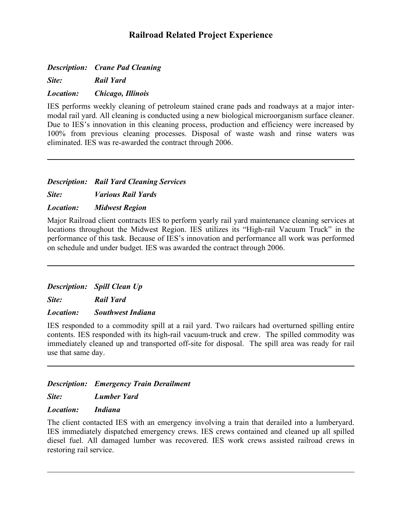# **Railroad Related Project Experience**

*Description: Crane Pad Cleaning*

*Site: Rail Yard*

#### *Location: Chicago, Illinois*

IES performs weekly cleaning of petroleum stained crane pads and roadways at a major intermodal rail yard. All cleaning is conducted using a new biological microorganism surface cleaner. Due to IES's innovation in this cleaning process, production and efficiency were increased by 100% from previous cleaning processes. Disposal of waste wash and rinse waters was eliminated. IES was re-awarded the contract through 2006.

## *Description: Rail Yard Cleaning Services*

*Site: Various Rail Yards*

*Location: Midwest Region*

Major Railroad client contracts IES to perform yearly rail yard maintenance cleaning services at locations throughout the Midwest Region. IES utilizes its "High-rail Vacuum Truck" in the performance of this task. Because of IES's innovation and performance all work was performed on schedule and under budget. IES was awarded the contract through 2006.

*Description: Spill Clean Up*

*Site: Rail Yard*

#### *Location: Southwest Indiana*

IES responded to a commodity spill at a rail yard. Two railcars had overturned spilling entire contents. IES responded with its high-rail vacuum-truck and crew. The spilled commodity was immediately cleaned up and transported off-site for disposal. The spill area was ready for rail use that same day.

# *Description: Emergency Train Derailment*

*Site: Lumber Yard*

#### *Location: Indiana*

The client contacted IES with an emergency involving a train that derailed into a lumberyard. IES immediately dispatched emergency crews. IES crews contained and cleaned up all spilled diesel fuel. All damaged lumber was recovered. IES work crews assisted railroad crews in restoring rail service.